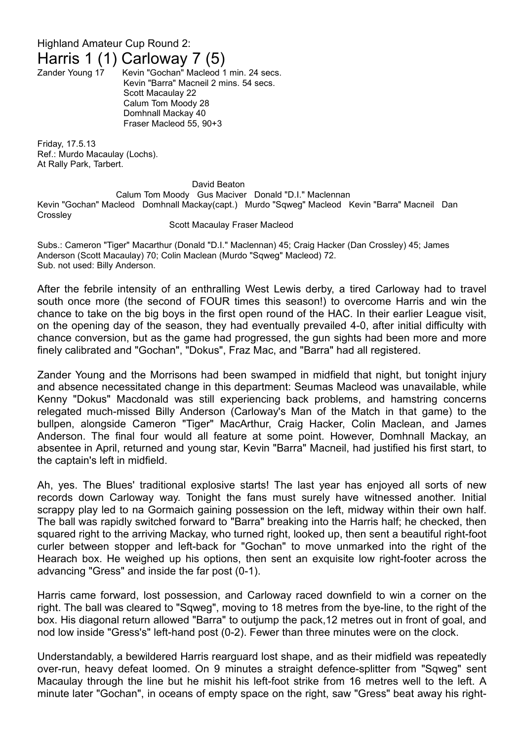## Highland Amateur Cup Round 2:

## Harris 1 (1) Carloway 7 (5)<br>Zander Young 17 Kevin "Gochan" Macleod 1

Kevin "Gochan" Macleod 1 min. 24 secs. Kevin "Barra" Macneil 2 mins. 54 secs. Scott Macaulay 22 Calum Tom Moody 28 Domhnall Mackay 40 Fraser Macleod 55, 90+3

Friday, 17.5.13 Ref.: Murdo Macaulay (Lochs). At Rally Park, Tarbert.

## David Beaton Calum Tom Moody Gus Maciver Donald "D.I." Maclennan Kevin "Gochan" Macleod Domhnall Mackay(capt.) Murdo "Sqweg" Macleod Kevin "Barra" Macneil Dan **Crossley**

## Scott Macaulay Fraser Macleod

Subs.: Cameron "Tiger" Macarthur (Donald "D.I." Maclennan) 45; Craig Hacker (Dan Crossley) 45; James Anderson (Scott Macaulay) 70; Colin Maclean (Murdo "Sqweg" Macleod) 72. Sub. not used: Billy Anderson.

After the febrile intensity of an enthralling West Lewis derby, a tired Carloway had to travel south once more (the second of FOUR times this season!) to overcome Harris and win the chance to take on the big boys in the first open round of the HAC. In their earlier League visit, on the opening day of the season, they had eventually prevailed 4-0, after initial difficulty with chance conversion, but as the game had progressed, the gun sights had been more and more finely calibrated and "Gochan", "Dokus", Fraz Mac, and "Barra" had all registered.

Zander Young and the Morrisons had been swamped in midfield that night, but tonight injury and absence necessitated change in this department: Seumas Macleod was unavailable, while Kenny "Dokus" Macdonald was still experiencing back problems, and hamstring concerns relegated much-missed Billy Anderson (Carloway's Man of the Match in that game) to the bullpen, alongside Cameron "Tiger" MacArthur, Craig Hacker, Colin Maclean, and James Anderson. The final four would all feature at some point. However, Domhnall Mackay, an absentee in April, returned and young star, Kevin "Barra" Macneil, had justified his first start, to the captain's left in midfield.

Ah, yes. The Blues' traditional explosive starts! The last year has enjoyed all sorts of new records down Carloway way. Tonight the fans must surely have witnessed another. Initial scrappy play led to na Gormaich gaining possession on the left, midway within their own half. The ball was rapidly switched forward to "Barra" breaking into the Harris half; he checked, then squared right to the arriving Mackay, who turned right, looked up, then sent a beautiful right-foot curler between stopper and left-back for "Gochan" to move unmarked into the right of the Hearach box. He weighed up his options, then sent an exquisite low right-footer across the advancing "Gress" and inside the far post (0-1).

Harris came forward, lost possession, and Carloway raced downfield to win a corner on the right. The ball was cleared to "Sqweg", moving to 18 metres from the bye-line, to the right of the box. His diagonal return allowed "Barra" to outjump the pack,12 metres out in front of goal, and nod low inside "Gress's" left-hand post (0-2). Fewer than three minutes were on the clock.

Understandably, a bewildered Harris rearguard lost shape, and as their midfield was repeatedly over-run, heavy defeat loomed. On 9 minutes a straight defence-splitter from "Sqweg" sent Macaulay through the line but he mishit his left-foot strike from 16 metres well to the left. A minute later "Gochan", in oceans of empty space on the right, saw "Gress" beat away his right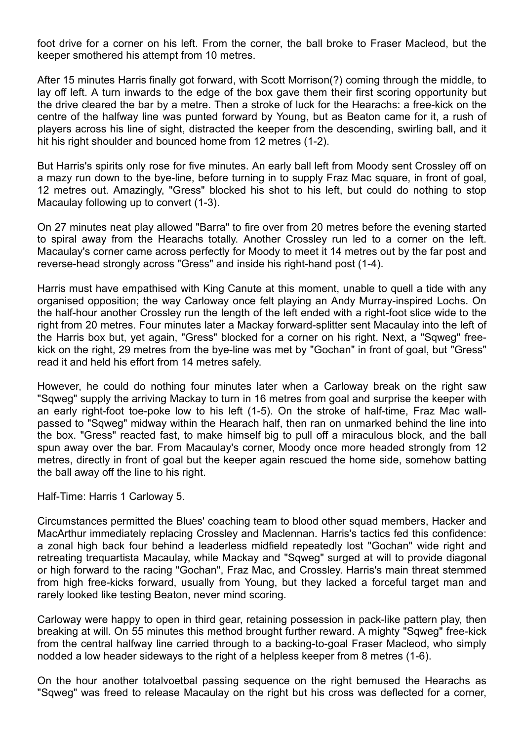foot drive for a corner on his left. From the corner, the ball broke to Fraser Macleod, but the keeper smothered his attempt from 10 metres.

After 15 minutes Harris finally got forward, with Scott Morrison(?) coming through the middle, to lay off left. A turn inwards to the edge of the box gave them their first scoring opportunity but the drive cleared the bar by a metre. Then a stroke of luck for the Hearachs: a free-kick on the centre of the halfway line was punted forward by Young, but as Beaton came for it, a rush of players across his line of sight, distracted the keeper from the descending, swirling ball, and it hit his right shoulder and bounced home from 12 metres (1-2).

But Harris's spirits only rose for five minutes. An early ball left from Moody sent Crossley off on a mazy run down to the bye-line, before turning in to supply Fraz Mac square, in front of goal, 12 metres out. Amazingly, "Gress" blocked his shot to his left, but could do nothing to stop Macaulay following up to convert (1-3).

On 27 minutes neat play allowed "Barra" to fire over from 20 metres before the evening started to spiral away from the Hearachs totally. Another Crossley run led to a corner on the left. Macaulay's corner came across perfectly for Moody to meet it 14 metres out by the far post and reverse-head strongly across "Gress" and inside his right-hand post (1-4).

Harris must have empathised with King Canute at this moment, unable to quell a tide with any organised opposition; the way Carloway once felt playing an Andy Murray-inspired Lochs. On the half-hour another Crossley run the length of the left ended with a right-foot slice wide to the right from 20 metres. Four minutes later a Mackay forward-splitter sent Macaulay into the left of the Harris box but, yet again, "Gress" blocked for a corner on his right. Next, a "Sqweg" freekick on the right, 29 metres from the bye-line was met by "Gochan" in front of goal, but "Gress" read it and held his effort from 14 metres safely.

However, he could do nothing four minutes later when a Carloway break on the right saw "Sqweg" supply the arriving Mackay to turn in 16 metres from goal and surprise the keeper with an early right-foot toe-poke low to his left (1-5). On the stroke of half-time, Fraz Mac wallpassed to "Sqweg" midway within the Hearach half, then ran on unmarked behind the line into the box. "Gress" reacted fast, to make himself big to pull off a miraculous block, and the ball spun away over the bar. From Macaulay's corner, Moody once more headed strongly from 12 metres, directly in front of goal but the keeper again rescued the home side, somehow batting the ball away off the line to his right.

Half-Time: Harris 1 Carloway 5.

Circumstances permitted the Blues' coaching team to blood other squad members, Hacker and MacArthur immediately replacing Crossley and Maclennan. Harris's tactics fed this confidence: a zonal high back four behind a leaderless midfield repeatedly lost "Gochan" wide right and retreating trequartista Macaulay, while Mackay and "Sqweg" surged at will to provide diagonal or high forward to the racing "Gochan", Fraz Mac, and Crossley. Harris's main threat stemmed from high free-kicks forward, usually from Young, but they lacked a forceful target man and rarely looked like testing Beaton, never mind scoring.

Carloway were happy to open in third gear, retaining possession in pack-like pattern play, then breaking at will. On 55 minutes this method brought further reward. A mighty "Sqweg" free-kick from the central halfway line carried through to a backing-to-goal Fraser Macleod, who simply nodded a low header sideways to the right of a helpless keeper from 8 metres (1-6).

On the hour another totalvoetbal passing sequence on the right bemused the Hearachs as "Sqweg" was freed to release Macaulay on the right but his cross was deflected for a corner,